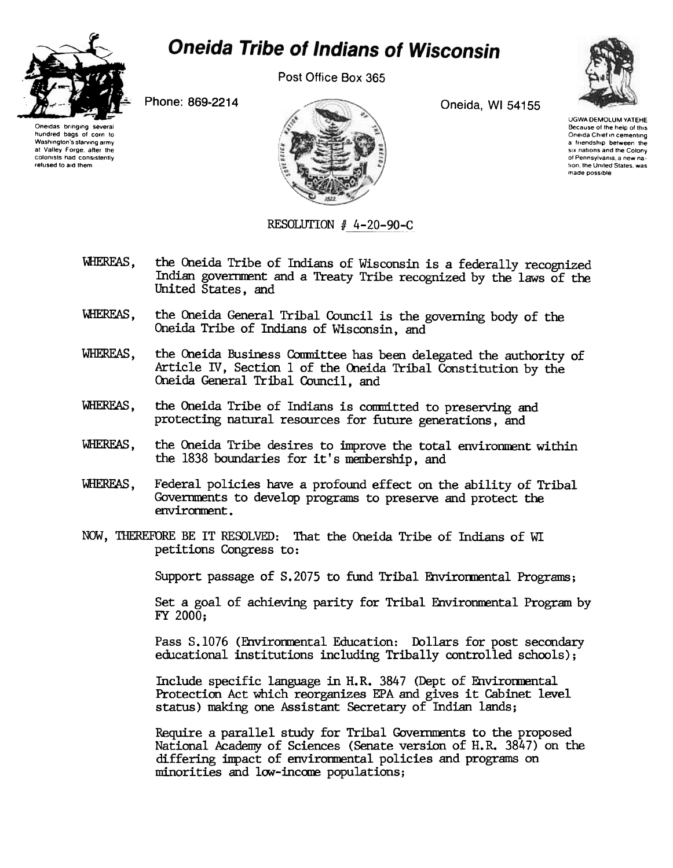

## **Oneida Tribe of Indians of Wisconsin**

Post Office Box 365



Oneidas bringing hundred bags of corn to Washington's starving army at Valley Forge, alter the colonists had consistently refused to aid them



UGWA DEMOLUM YATEHE Because of the help of this Oneida Chief in cementing a friendship between the six nations and the Colony of Pennsylvania, a new nation, the United States, was made possible

RESOLUTION # 4-20-90-C

- WHEREAS, the Oneida Tribe of Indians of Wisconsin is a federally recognized Indian government and a Treaty Tribe recognized by the laws of the United States, and
- WHEREAS, the Oneida General Tribal Council is the governing body of the Oneida Tribe of Indians of Wisconsin, and
- WHEREAS, the Oneida Business Committee has been delegated the authority of Article IV, Section 1 of the Oneida Tribal Constitution by the Oneida General Tribal Council, and
- WHEREAS, the Oneida Tribe of Indians is committed to preserving and protecting natural resources for future generations, and
- WHEREAS, the Oneida Tribe desires to improve the total environment within the 1838 boundaries for it's mermership, and
- 'WHEREAS, Federal policies have a profound effect on the ability of Tribal Governments to develop programs to preserve and protect the environment.
- NOW, THEREFORE BE IT RESOLVED: That the Oneida Tribe of Indians of WI petitions Congress to:

Support passage of S.2075 to fund Tribal Environmental Programs;

Set a goal of achieving parity for Tribal Environmental Program by FY 2000;

Pass 8.1076 (Environmental Education: Dollars for post secondary educational institutions including Tribally controlled schools);

Include specific language in H.R. 3847 (Dept of Environmental Protection Act which reorganizes EPA and gives it Cabinet level status) naking one Assistant Secretary of Indian lands;

Require a parallel study for Tribal Governments to the proposed National Academy of Sciences (Senate version of H.R. 3847) on the differing impact of environmental policies and programs on minorities and low-income populations;